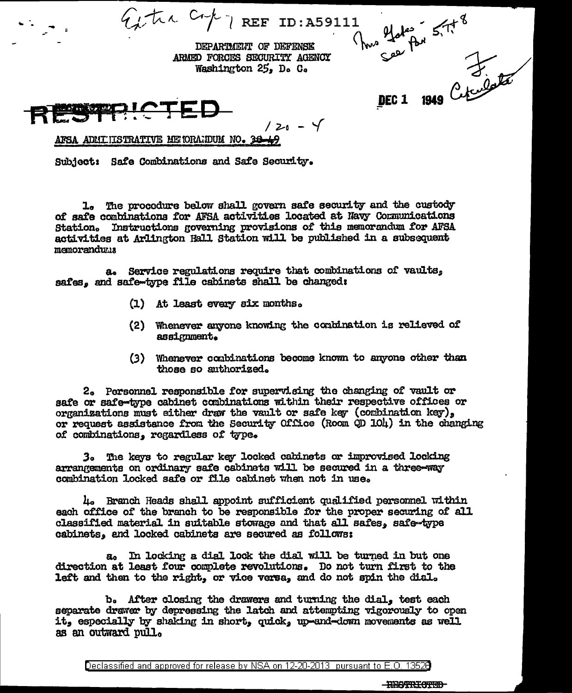$Q_t$ tia Cr/  $7$  REF ID:A59111 Thus elated 5.758 DEPARTMENT OF DEFENSE DEC 1 1949 Ceramontal ARMED FORCES SECURITY AGENCY Washington 25. D. C.

 $120 - 4$ 

**BECKSTREE** 

AFSA ADMITISTRATIVE METORAIDUM NO. 38-49

Subject: Safe Combinations and Safe Security.

1. The procedure below shall govern safe security and the custody of safe combinations for AFSA activities located at Navy Communications Station. Instructions governing provisions of this memorandum for AFSA activities at Arlington Hall Station will be published in a subsequent memoranduma

a. Service regulations require that combinations of vaults, safes, and safe-type file cabinets shall be changed:

- (1) At least every six months.
- (2) Whenever anyone knowing the conbination is relieved of assignment.
- (3) Whenever combinations become known to anyone other than those so authorized.

2. Personnel responsible for supervising the changing of vault or safe or safe-type cabinet combinations within their respective offices or organizations must either draw the vault or safe key (combination key). or request assistance from the Security Office (Room QD 104) in the changing of combinations. regardless of type.

The keys to regular key locked cabinets or improvised locking 3. arrangements on ordinary safe cabinets will be secured in a three-way combination locked safe or file cabinet when not in use.

4. Branch Heads shall appoint sufficient qualified personnel within each office of the branch to be responsible for the proper securing of all classified material in suitable stowage and that all safes. safe-type cabinets, and locked cabinets are secured as follows:

a. In locking a dial lock the dial will be turned in but one direction at least four complete revolutions. Do not turn first to the left and then to the right, or vice versa, and do not spin the dial.

b. After closing the drawers and turning the dial, test each separate drawer by depressing the latch and attempting vigorously to open it, especially by shaking in short, quick, up-and-down movements as well as an outward pull.

**-BESTRICTED**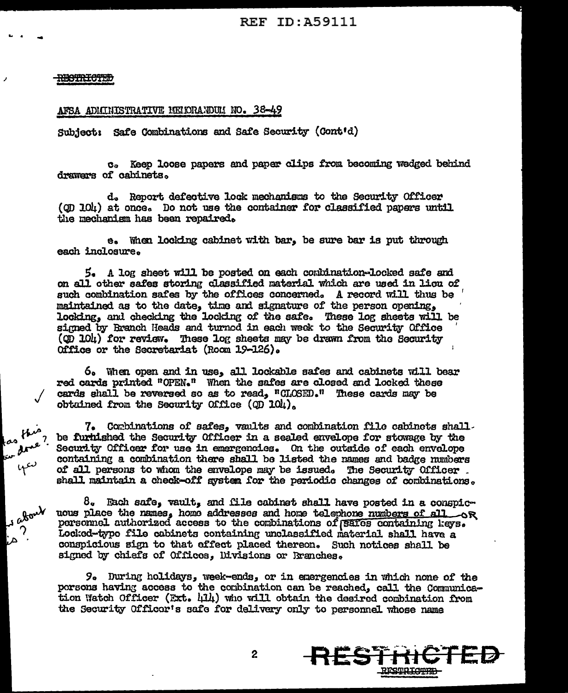## <del>RECTRICTED</del>

us

 $\mu$ 

 $4^{\omega}$ 

y abou

Δ

 $\overline{\mathcal{C}}$ 

## AFSA ADMINISTRATIVE MEMORANDUM NO. 38-49

Subject: Safe Combinations and Safe Security (Cont'd)

c. Keep loose papers and paper clips from becoming wedged behind drawars of cabinets.

d. Report defective lock mechanisms to the Security Officer (OD 104) at once. Do not use the container for classified papers until the mechanism has been repaired.

e. When looking cabinet with bar, be sure bar is put through each inclosure.

5. A log sheet will be posted on each combination-locked safe and on all other safes storing classified material which are used in lieu of such combination safes by the offices concerned. A record will thus be maintained as to the date, time and signature of the person opening, locking, and checking the locking of the safe. These log sheets will be signed by Branch Heads and turnod in each week to the Security Office (OD 10h) for review. These log sheets may be drawn from the Security Office or the Secretariat (Room 19-126).

6. When open and in use, all lockable safes and cabinets will bear red cards printed "OPEN." When the safes are closed and locked these cards shall be reversed so as to read, "CLOSED." These cards may be obtained from the Security Office (OD 104).

7. Combinations of safes, vaults and combination file cabinets shall. be furtished the Security Officer in a sealed envelope for stowage by the Security Officer for use in emergencies. On the outside of each envelope containing a combination there shall be listed the names and badge numbers of all persons to whom the envelope may be issued. The Security Officer. shall maintain a check-off system for the periodic changes of combinations.

 $8.$  Each safe, vault, and file cabinet shall have posted in a conspicuous place the names, homo addresses and home telephone numbers of all or personnel authorized access to the combinations of *safes* containing keys. Locked-type file cabinets containing unclassified material shall have a conspicious sign to that effect placed thereon. Such notices shall be signed by chiefs of Offices, Divisions or Rranches.

9. During holidays, week-ends, or in emergencies in which none of the persons having access to the combination can be reached, call the Communication Watch Officer (Ext. 414) who will obtain the desired combination from the Security Officer's safe for delivery only to personnel whose name



 $\boldsymbol{2}$